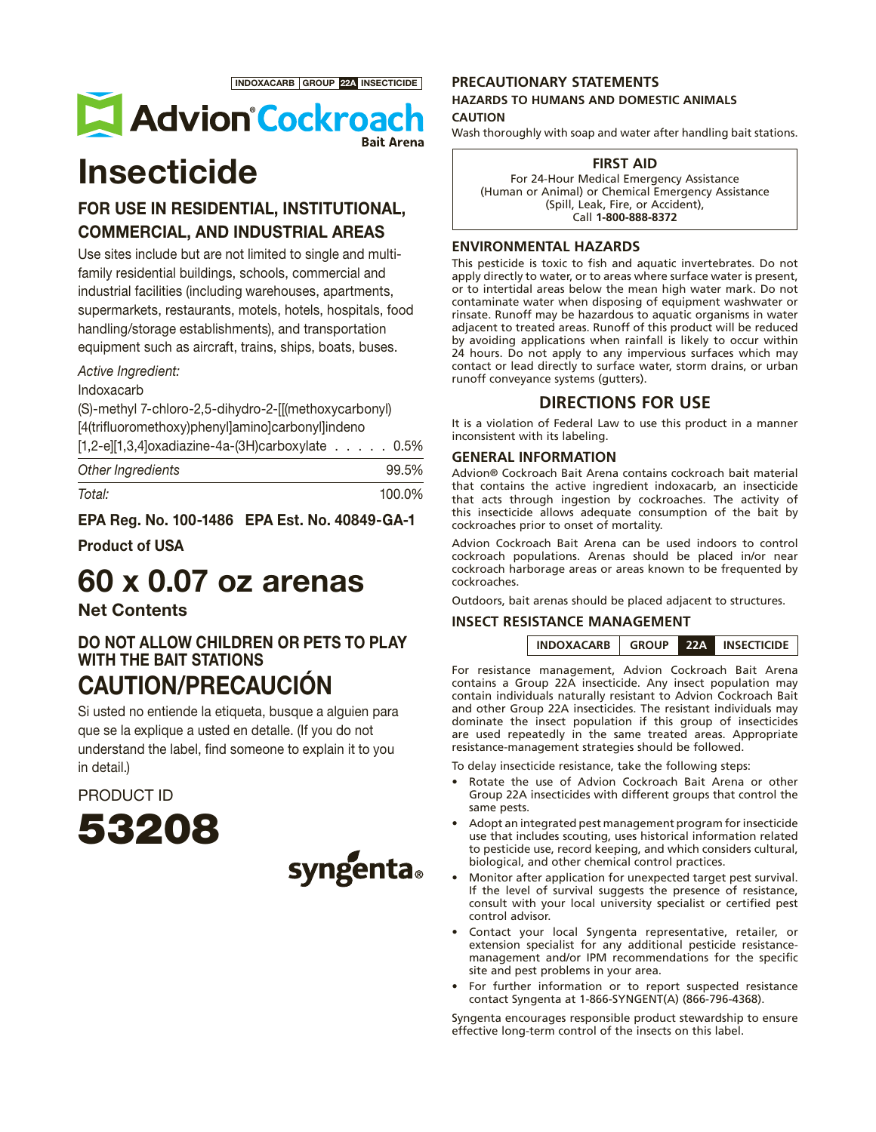INDOXACARB GROUP 22A INSECTICIDE



# **Insecticide**

# FOR USE IN RESIDENTIAL, INSTITUTIONAL, COMMERCIAL, AND INDUSTRIAL AREAS

Use sites include but are not limited to single and multifamily residential buildings, schools, commercial and industrial facilities (including warehouses, apartments, supermarkets, restaurants, motels, hotels, hospitals, food handling/storage establishments), and transportation equipment such as aircraft, trains, ships, boats, buses.

### Active Ingredient:

Indoxacarb

(S)-methyl 7-chloro-2,5-dihydro-2-[[(methoxycarbonyl) [4(trifluoromethoxy)phenyl]amino]carbonyl]indeno

| $[1,2-e][1,3,4]$ oxadiazine-4a-(3H)carboxylate 0.5% |  |  |       |  |
|-----------------------------------------------------|--|--|-------|--|
| Other Ingredients                                   |  |  | 99.5% |  |

| Total: | 100.0% |
|--------|--------|

EPA Reg. No. 100-1486 EPA Est. No. 40849-GA-1

Product of USA

# 60 x 0.07 oz arenas

## Net Contents

DO NOT ALLOW CHILDREN OR PETS TO PLAY WITH THE BAIT STATIONS CAUTION/PRECAUCIÓN

Si usted no entiende la etiqueta, busque a alguien para que se la explique a usted en detalle. (If you do not understand the label, find someone to explain it to you in detail.)

PRODUCT ID





## **PRECAUTIONARY STATEMENTS**

#### **HAZARDS TO HUMANS AND DOMESTIC ANIMALS CAUTION**

Wash thoroughly with soap and water after handling bait stations.

#### **FIRST AID**

For 24-Hour Medical Emergency Assistance (Human or Animal) or Chemical Emergency Assistance (Spill, Leak, Fire, or Accident), Call **1-800-888-8372**

### **ENVIRONMENTAL HAZARDS**

This pesticide is toxic to fish and aquatic invertebrates. Do not apply directly to water, or to areas where surface water is present, or to intertidal areas below the mean high water mark. Do not contaminate water when disposing of equipment washwater or rinsate. Runoff may be hazardous to aquatic organisms in water adjacent to treated areas. Runoff of this product will be reduced by avoiding applications when rainfall is likely to occur within 24 hours. Do not apply to any impervious surfaces which may contact or lead directly to surface water, storm drains, or urban runoff conveyance systems (gutters).

## **DIRECTIONS FOR USE**

It is a violation of Federal Law to use this product in a manner inconsistent with its labeling.

#### **GENERAL INFORMATION**

Advion® Cockroach Bait Arena contains cockroach bait material that contains the active ingredient indoxacarb, an insecticide that acts through ingestion by cockroaches. The activity of this insecticide allows adequate consumption of the bait by cockroaches prior to onset of mortality.

Advion Cockroach Bait Arena can be used indoors to control cockroach populations. Arenas should be placed in/or near cockroach harborage areas or areas known to be frequented by cockroaches.

Outdoors, bait arenas should be placed adjacent to structures.

#### **INSECT RESISTANCE MANAGEMENT**



For resistance management, Advion Cockroach Bait Arena contains a Group 22A insecticide. Any insect population may contain individuals naturally resistant to Advion Cockroach Bait and other Group 22A insecticides. The resistant individuals may dominate the insect population if this group of insecticides are used repeatedly in the same treated areas. Appropriate resistance-management strategies should be followed.

To delay insecticide resistance, take the following steps:

- Rotate the use of Advion Cockroach Bait Arena or other Group 22A insecticides with different groups that control the same pests.
- Adopt an integrated pest management program for insecticide use that includes scouting, uses historical information related to pesticide use, record keeping, and which considers cultural, biological, and other chemical control practices.
- Monitor after application for unexpected target pest survival. If the level of survival suggests the presence of resistance, consult with your local university specialist or certified pest control advisor.
- Contact your local Syngenta representative, retailer, or extension specialist for any additional pesticide resistancemanagement and/or IPM recommendations for the specific site and pest problems in your area.
- For further information or to report suspected resistance contact Syngenta at 1-866-SYNGENT(A) (866-796-4368).

Syngenta encourages responsible product stewardship to ensure effective long-term control of the insects on this label.